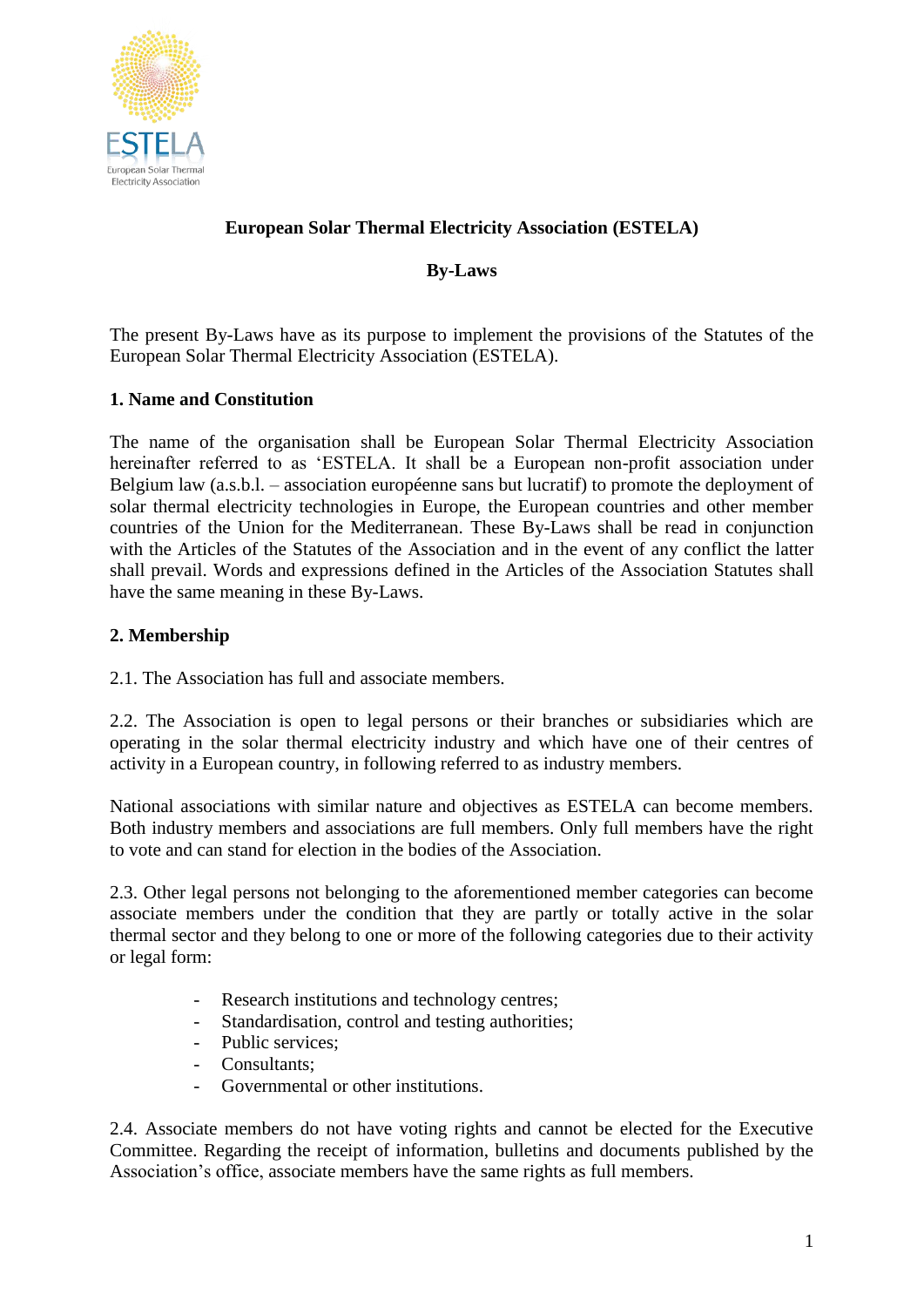

# **European Solar Thermal Electricity Association (ESTELA)**

## **By-Laws**

The present By-Laws have as its purpose to implement the provisions of the Statutes of the European Solar Thermal Electricity Association (ESTELA).

## **1. Name and Constitution**

The name of the organisation shall be European Solar Thermal Electricity Association hereinafter referred to as 'ESTELA. It shall be a European non-profit association under Belgium law (a.s.b.l. – association européenne sans but lucratif) to promote the deployment of solar thermal electricity technologies in Europe, the European countries and other member countries of the Union for the Mediterranean. These By-Laws shall be read in conjunction with the Articles of the Statutes of the Association and in the event of any conflict the latter shall prevail. Words and expressions defined in the Articles of the Association Statutes shall have the same meaning in these By-Laws.

## **2. Membership**

2.1. The Association has full and associate members.

2.2. The Association is open to legal persons or their branches or subsidiaries which are operating in the solar thermal electricity industry and which have one of their centres of activity in a European country, in following referred to as industry members.

National associations with similar nature and objectives as ESTELA can become members. Both industry members and associations are full members. Only full members have the right to vote and can stand for election in the bodies of the Association.

2.3. Other legal persons not belonging to the aforementioned member categories can become associate members under the condition that they are partly or totally active in the solar thermal sector and they belong to one or more of the following categories due to their activity or legal form:

- Research institutions and technology centres;
- Standardisation, control and testing authorities;
- Public services;
- Consultants;
- Governmental or other institutions.

2.4. Associate members do not have voting rights and cannot be elected for the Executive Committee. Regarding the receipt of information, bulletins and documents published by the Association's office, associate members have the same rights as full members.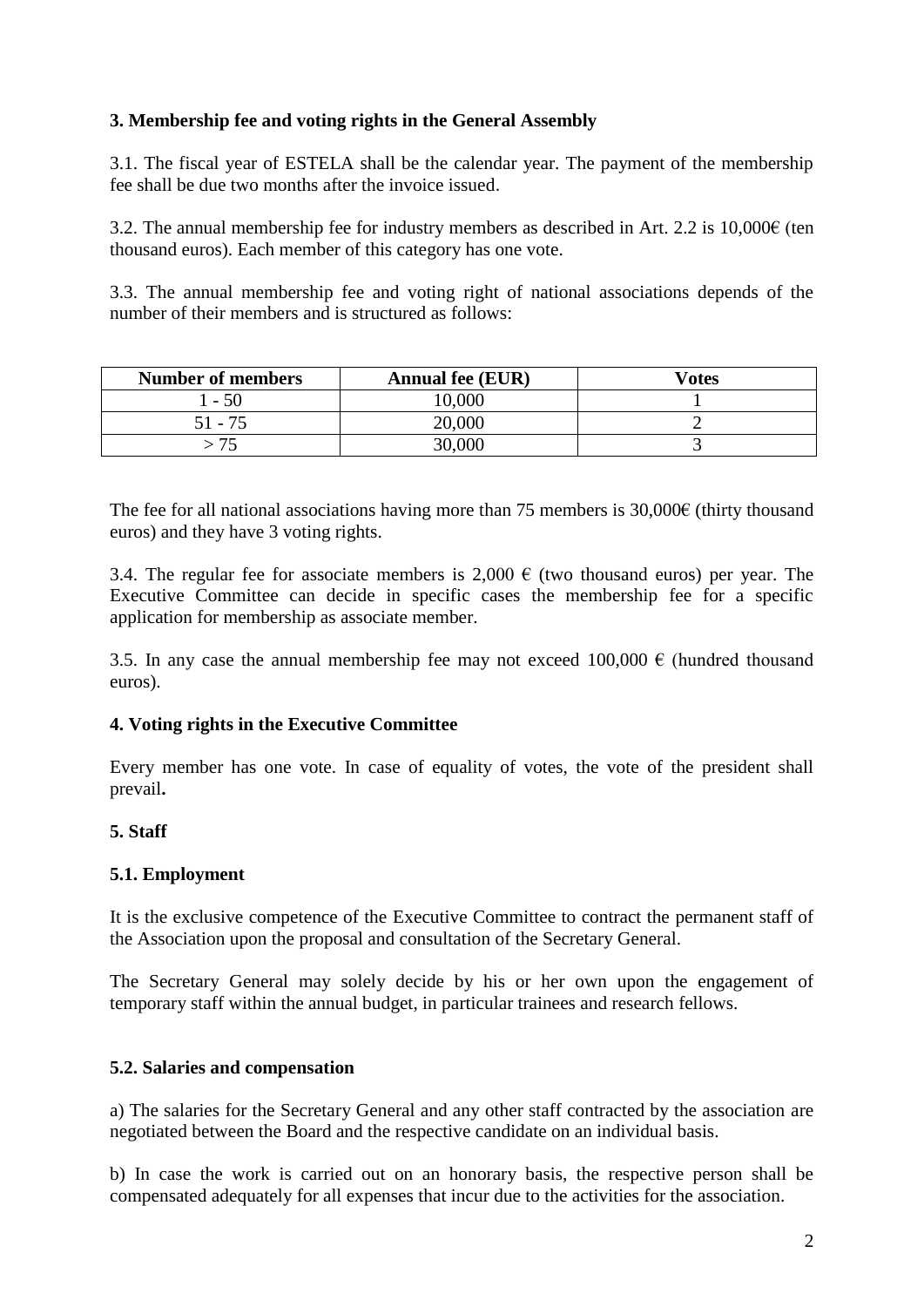### **3. Membership fee and voting rights in the General Assembly**

3.1. The fiscal year of ESTELA shall be the calendar year. The payment of the membership fee shall be due two months after the invoice issued.

3.2. The annual membership fee for industry members as described in Art. 2.2 is  $10,000 \in \text{(ten)}$ thousand euros). Each member of this category has one vote.

3.3. The annual membership fee and voting right of national associations depends of the number of their members and is structured as follows:

| <b>Number of members</b> | <b>Annual fee (EUR)</b> | Votes |
|--------------------------|-------------------------|-------|
| $-50$                    | 0.000                   |       |
| 51 - 75                  | 20,000                  |       |
|                          | 30,000                  |       |

The fee for all national associations having more than 75 members is  $30,000\epsilon$  (thirty thousand euros) and they have 3 voting rights.

3.4. The regular fee for associate members is 2,000  $\epsilon$  (two thousand euros) per year. The Executive Committee can decide in specific cases the membership fee for a specific application for membership as associate member.

3.5. In any case the annual membership fee may not exceed 100,000  $\epsilon$  (hundred thousand euros).

### **4. Voting rights in the Executive Committee**

Every member has one vote. In case of equality of votes, the vote of the president shall prevail**.**

### **5. Staff**

#### **5.1. Employment**

It is the exclusive competence of the Executive Committee to contract the permanent staff of the Association upon the proposal and consultation of the Secretary General.

The Secretary General may solely decide by his or her own upon the engagement of temporary staff within the annual budget, in particular trainees and research fellows.

#### **5.2. Salaries and compensation**

a) The salaries for the Secretary General and any other staff contracted by the association are negotiated between the Board and the respective candidate on an individual basis.

b) In case the work is carried out on an honorary basis, the respective person shall be compensated adequately for all expenses that incur due to the activities for the association.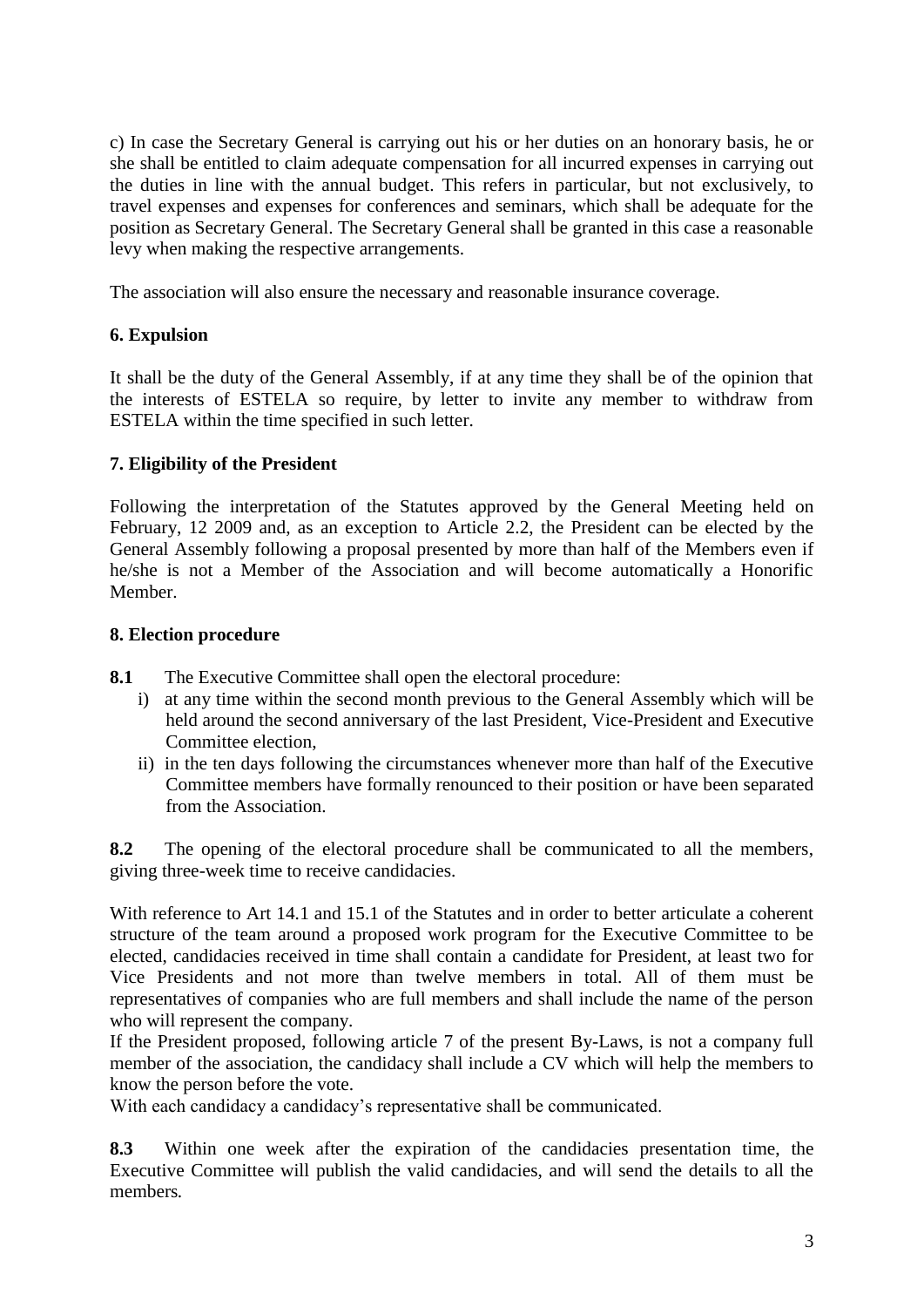c) In case the Secretary General is carrying out his or her duties on an honorary basis, he or she shall be entitled to claim adequate compensation for all incurred expenses in carrying out the duties in line with the annual budget. This refers in particular, but not exclusively, to travel expenses and expenses for conferences and seminars, which shall be adequate for the position as Secretary General. The Secretary General shall be granted in this case a reasonable levy when making the respective arrangements.

The association will also ensure the necessary and reasonable insurance coverage.

## **6. Expulsion**

It shall be the duty of the General Assembly, if at any time they shall be of the opinion that the interests of ESTELA so require, by letter to invite any member to withdraw from ESTELA within the time specified in such letter.

### **7. Eligibility of the President**

Following the interpretation of the Statutes approved by the General Meeting held on February, 12 2009 and, as an exception to Article 2.2, the President can be elected by the General Assembly following a proposal presented by more than half of the Members even if he/she is not a Member of the Association and will become automatically a Honorific Member.

### **8. Election procedure**

- **8.1** The Executive Committee shall open the electoral procedure:
	- i) at any time within the second month previous to the General Assembly which will be held around the second anniversary of the last President, Vice-President and Executive Committee election,
	- ii) in the ten days following the circumstances whenever more than half of the Executive Committee members have formally renounced to their position or have been separated from the Association.

**8.2** The opening of the electoral procedure shall be communicated to all the members, giving three-week time to receive candidacies.

With reference to Art 14.1 and 15.1 of the Statutes and in order to better articulate a coherent structure of the team around a proposed work program for the Executive Committee to be elected, candidacies received in time shall contain a candidate for President, at least two for Vice Presidents and not more than twelve members in total. All of them must be representatives of companies who are full members and shall include the name of the person who will represent the company.

If the President proposed, following article 7 of the present By-Laws, is not a company full member of the association, the candidacy shall include a CV which will help the members to know the person before the vote.

With each candidacy a candidacy's representative shall be communicated.

**8.3** Within one week after the expiration of the candidacies presentation time, the Executive Committee will publish the valid candidacies, and will send the details to all the members*.*